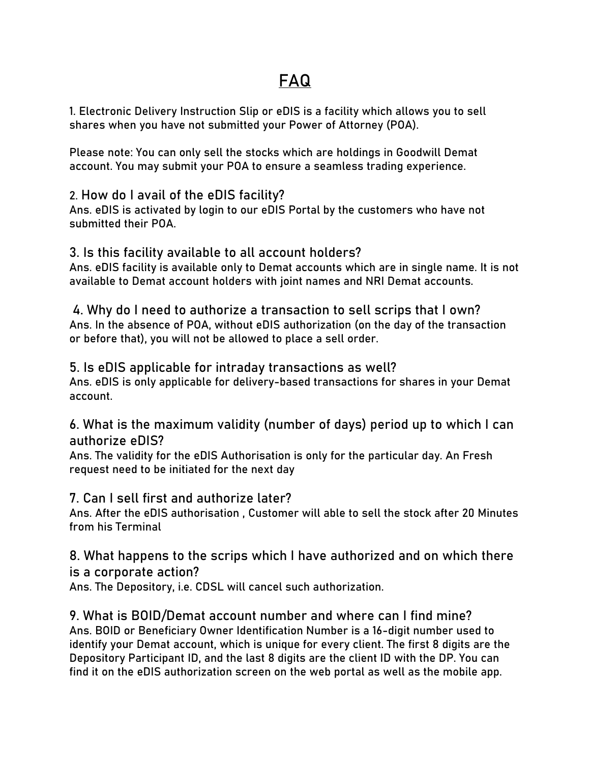# **FAQ**

1. Electronic Delivery Instruction Slip or eDIS is a facility which allows you to sell shares when you have not submitted your Power of Attorney (POA).

Please note: You can only sell the stocks which are holdings in Goodwill Demat account. You may submit your POA to ensure a seamless trading experience.

# 2. **How do I avail of the eDIS facility?**

Ans. eDIS is activated by login to our eDIS Portal by the customers who have not submitted their POA.

## 3. **Is this facility available to all account holders?**

Ans. eDIS facility is available only to Demat accounts which are in single name. It is not available to Demat account holders with joint names and NRI Demat accounts.

4. **Why do I need to authorize a transaction to sell scrips that I own?** Ans. In the absence of POA, without eDIS authorization (on the day of the transaction or before that), you will not be allowed to place a sell order.

# 5. **Is eDIS applicable for intraday transactions as well?**

Ans. eDIS is only applicable for delivery-based transactions for shares in your Demat account.

# 6. **What is the maximum validity (number of days) period up to which I can authorize eDIS?**

Ans. The validity for the eDIS Authorisation is only for the particular day. An Fresh request need to be initiated for the next day

# 7. **Can I sell first and authorize later?**

Ans. After the eDIS authorisation , Customer will able to sell the stock after 20 Minutes from his Terminal

#### 8. **What happens to the scrips which I have authorized and on which there is a corporate action?**

Ans. The Depository, i.e. CDSL will cancel such authorization.

#### 9. **What is BOID/Demat account number and where can I find mine?** Ans. BOID or Beneficiary Owner Identification Number is a 16-digit number used to identify your Demat account, which is unique for every client. The first 8 digits are the Depository Participant ID, and the last 8 digits are the client ID with the DP. You can find it on the eDIS authorization screen on the web portal as well as the mobile app.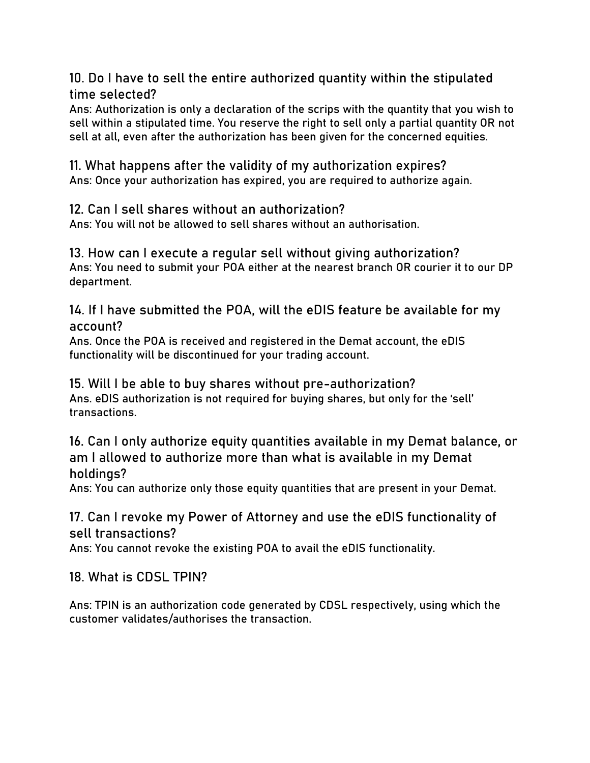10. **Do I have to sell the entire authorized quantity within the stipulated time selected?**

Ans: Authorization is only a declaration of the scrips with the quantity that you wish to sell within a stipulated time. You reserve the right to sell only a partial quantity OR not sell at all, even after the authorization has been given for the concerned equities.

11. **What happens after the validity of my authorization expires?** Ans: Once your authorization has expired, you are required to authorize again.

12. **Can I sell shares without an authorization?**

Ans: You will not be allowed to sell shares without an authorisation.

13. **How can I execute a regular sell without giving authorization?** Ans: You need to submit your POA either at the nearest branch OR courier it to our DP department.

14. **If I have submitted the POA, will the eDIS feature be available for my account?**

Ans. Once the POA is received and registered in the Demat account, the eDIS functionality will be discontinued for your trading account.

15. **Will I be able to buy shares without pre-authorization?** Ans. eDIS authorization is not required for buying shares, but only for the 'sell' transactions.

16. **Can I only authorize equity quantities available in my Demat balance, or am I allowed to authorize more than what is available in my Demat holdings?**

Ans: You can authorize only those equity quantities that are present in your Demat.

# 17. **Can I revoke my Power of Attorney and use the eDIS functionality of sell transactions?**

Ans: You cannot revoke the existing POA to avail the eDIS functionality.

18. **What is CDSL TPIN?**

Ans: TPIN is an authorization code generated by CDSL respectively, using which the customer validates/authorises the transaction.